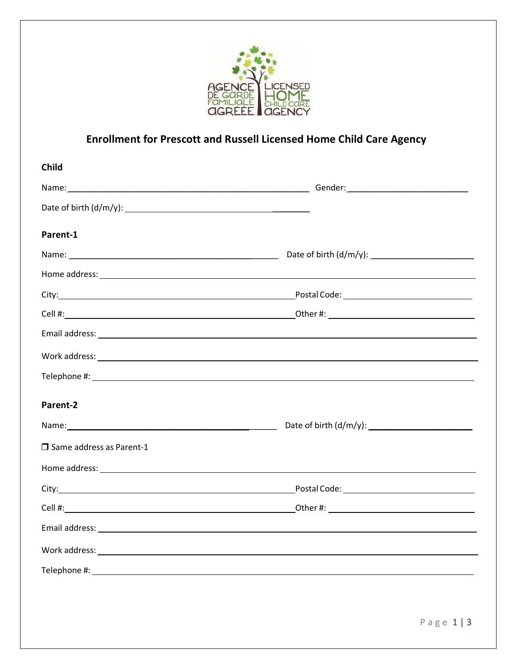

## **Enrollment for Prescott and Russell Licensed Home Child Care Agency**

| <b>Child</b>                       |  |
|------------------------------------|--|
|                                    |  |
|                                    |  |
| Parent-1                           |  |
|                                    |  |
|                                    |  |
|                                    |  |
|                                    |  |
|                                    |  |
|                                    |  |
|                                    |  |
| Parent-2                           |  |
|                                    |  |
| $\square$ Same address as Parent-1 |  |
|                                    |  |
|                                    |  |
|                                    |  |
|                                    |  |
|                                    |  |
|                                    |  |
|                                    |  |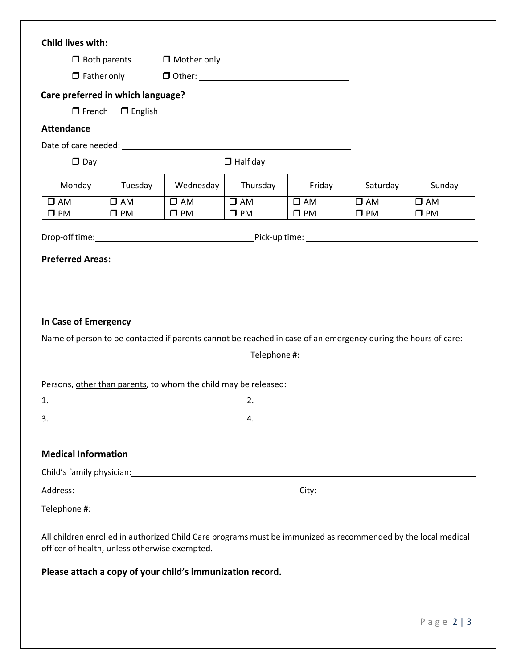|                                               |                                   | $\Box$ Mother only                                                                                                                                                                                                             |                 |              |              |              |
|-----------------------------------------------|-----------------------------------|--------------------------------------------------------------------------------------------------------------------------------------------------------------------------------------------------------------------------------|-----------------|--------------|--------------|--------------|
| $\Box$ Both parents<br>$\Box$ Father only     |                                   |                                                                                                                                                                                                                                |                 |              |              |              |
|                                               |                                   |                                                                                                                                                                                                                                |                 |              |              |              |
|                                               | Care preferred in which language? |                                                                                                                                                                                                                                |                 |              |              |              |
| $\Box$ French                                 | $\Box$ English                    |                                                                                                                                                                                                                                |                 |              |              |              |
| <b>Attendance</b>                             |                                   |                                                                                                                                                                                                                                |                 |              |              |              |
|                                               |                                   |                                                                                                                                                                                                                                |                 |              |              |              |
| $\Box$ Day                                    |                                   |                                                                                                                                                                                                                                | $\Box$ Half day |              |              |              |
| Monday                                        | Tuesday                           | Wednesday                                                                                                                                                                                                                      | Thursday        | Friday       | Saturday     | Sunday       |
| $\square$ AM                                  | $\square$ AM                      | $\square$ AM                                                                                                                                                                                                                   | $\square$ AM    | $\square$ AM | $\square$ AM | $\square$ AM |
| $\square$ PM                                  | $\square$ PM                      | $\square$ PM                                                                                                                                                                                                                   | $\square$ PM    | $\square$ PM | $\square$ PM | $\square$ PM |
|                                               |                                   |                                                                                                                                                                                                                                |                 |              |              |              |
|                                               |                                   |                                                                                                                                                                                                                                |                 |              |              |              |
| <b>Preferred Areas:</b>                       |                                   |                                                                                                                                                                                                                                |                 |              |              |              |
|                                               |                                   | Name of person to be contacted if parents cannot be reached in case of an emergency during the hours of care:                                                                                                                  |                 |              |              |              |
|                                               |                                   |                                                                                                                                                                                                                                |                 |              |              |              |
|                                               |                                   | Persons, other than parents, to whom the child may be released:                                                                                                                                                                |                 |              |              |              |
| 1.                                            |                                   |                                                                                                                                                                                                                                |                 |              |              |              |
|                                               |                                   | $\begin{array}{c} \n \stackrel{\text{3.}}{ \quad \quad \quad \quad \quad } \n \end{array}$                                                                                                                                     |                 |              |              |              |
|                                               |                                   |                                                                                                                                                                                                                                |                 |              |              |              |
| <b>Medical Information</b>                    |                                   |                                                                                                                                                                                                                                |                 |              |              |              |
|                                               |                                   |                                                                                                                                                                                                                                |                 |              |              |              |
|                                               |                                   | Address: City: City: City: City: City: City: City: City: City: City: City: City: City: City: City: City: City: City: City: City: City: City: City: City: City: City: City: City: City: City: City: City: City: City: City: Cit |                 |              |              |              |
|                                               |                                   |                                                                                                                                                                                                                                |                 |              |              |              |
|                                               |                                   |                                                                                                                                                                                                                                |                 |              |              |              |
|                                               |                                   |                                                                                                                                                                                                                                |                 |              |              |              |
| officer of health, unless otherwise exempted. |                                   | All children enrolled in authorized Child Care programs must be immunized as recommended by the local medical                                                                                                                  |                 |              |              |              |
|                                               |                                   |                                                                                                                                                                                                                                |                 |              |              |              |
|                                               |                                   | Please attach a copy of your child's immunization record.                                                                                                                                                                      |                 |              |              |              |
|                                               |                                   |                                                                                                                                                                                                                                |                 |              |              |              |
|                                               |                                   |                                                                                                                                                                                                                                |                 |              |              |              |